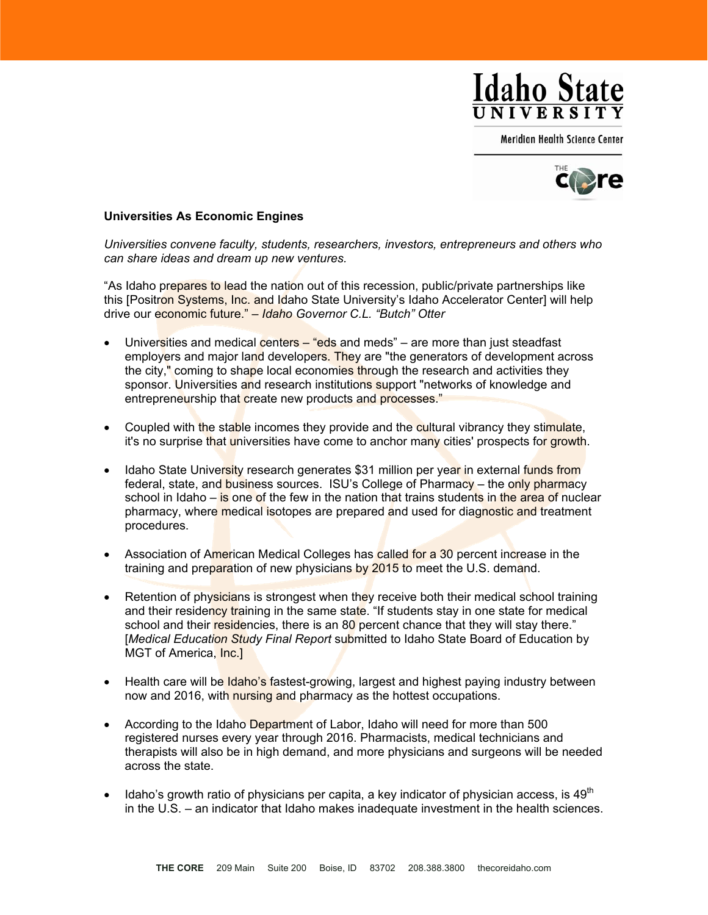

Meridian Health Science Center



## **Universities As Economic Engines**

*Universities convene faculty, students, researchers, investors, entrepreneurs and others who can share ideas and dream up new ventures.* 

"As Idaho prepares to lead the nation out of this recession, public/private partnerships like this [Positron Systems, Inc. and Idaho State University's Idaho Accelerator Center] will help drive our economic future." *– Idaho Governor C.L. "Butch" Otter*

- Universities and medical centers  $-$  "eds and meds" are more than just steadfast employers and major land developers. They are "the generators of development across the city," coming to shape local economies through the research and activities they sponsor. Universities and research institutions support "networks of knowledge and entrepreneurship that create new products and processes."
- Coupled with the stable incomes they provide and the cultural vibrancy they stimulate, it's no surprise that universities have come to anchor many cities' prospects for growth.
- Idaho State University research generates \$31 million per year in external funds from federal, state, and business sources. ISU's College of Pharmacy – the only pharmacy school in Idaho – is one of the few in the nation that trains students in the area of nuclear pharmacy, where medical isotopes are prepared and used for diagnostic and treatment procedures.
- Association of American Medical Colleges has called for a 30 percent increase in the training and preparation of new physicians by 2015 to meet the U.S. demand.
- Retention of physicians is strongest when they receive both their medical school training and their residency training in the same state. "If students stay in one state for medical school and their residencies, there is an 80 percent chance that they will stay there." [*Medical Education Study Final Report* submitted to Idaho State Board of Education by MGT of America, Inc.]
- Health care will be **Idaho's fastest-growing, largest and highest paying industry between** now and 2016, with nursing and pharmacy as the hottest occupations.
- According to the Idaho Department of Labor, Idaho will need for more than 500 registered nurses every year through 2016. Pharmacists, medical technicians and therapists will also be in high demand, and more physicians and surgeons will be needed across the state.
- Idaho's growth ratio of physicians per capita, a key indicator of physician access, is  $49<sup>th</sup>$ in the U.S. – an indicator that Idaho makes inadequate investment in the health sciences.